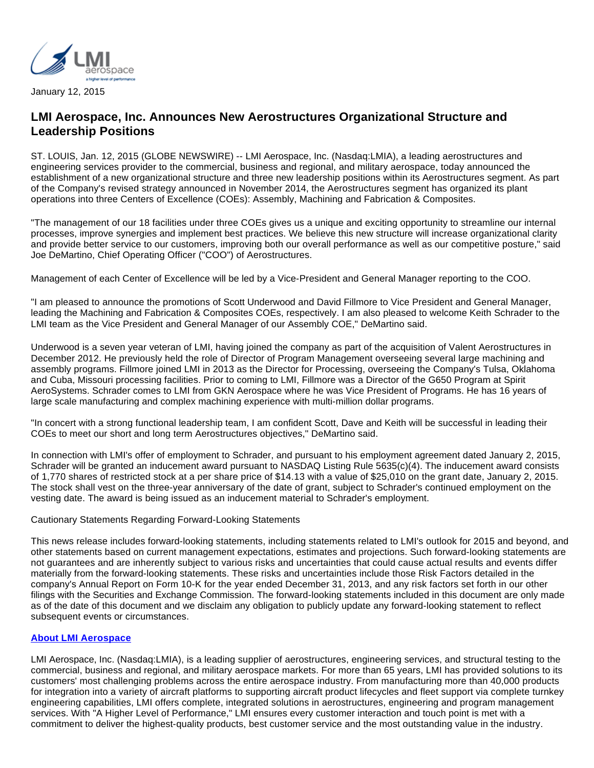

January 12, 2015

## **LMI Aerospace, Inc. Announces New Aerostructures Organizational Structure and Leadership Positions**

ST. LOUIS, Jan. 12, 2015 (GLOBE NEWSWIRE) -- LMI Aerospace, Inc. (Nasdaq:LMIA), a leading aerostructures and engineering services provider to the commercial, business and regional, and military aerospace, today announced the establishment of a new organizational structure and three new leadership positions within its Aerostructures segment. As part of the Company's revised strategy announced in November 2014, the Aerostructures segment has organized its plant operations into three Centers of Excellence (COEs): Assembly, Machining and Fabrication & Composites.

"The management of our 18 facilities under three COEs gives us a unique and exciting opportunity to streamline our internal processes, improve synergies and implement best practices. We believe this new structure will increase organizational clarity and provide better service to our customers, improving both our overall performance as well as our competitive posture," said Joe DeMartino, Chief Operating Officer ("COO") of Aerostructures.

Management of each Center of Excellence will be led by a Vice-President and General Manager reporting to the COO.

"I am pleased to announce the promotions of Scott Underwood and David Fillmore to Vice President and General Manager, leading the Machining and Fabrication & Composites COEs, respectively. I am also pleased to welcome Keith Schrader to the LMI team as the Vice President and General Manager of our Assembly COE," DeMartino said.

Underwood is a seven year veteran of LMI, having joined the company as part of the acquisition of Valent Aerostructures in December 2012. He previously held the role of Director of Program Management overseeing several large machining and assembly programs. Fillmore joined LMI in 2013 as the Director for Processing, overseeing the Company's Tulsa, Oklahoma and Cuba, Missouri processing facilities. Prior to coming to LMI, Fillmore was a Director of the G650 Program at Spirit AeroSystems. Schrader comes to LMI from GKN Aerospace where he was Vice President of Programs. He has 16 years of large scale manufacturing and complex machining experience with multi-million dollar programs.

"In concert with a strong functional leadership team, I am confident Scott, Dave and Keith will be successful in leading their COEs to meet our short and long term Aerostructures objectives," DeMartino said.

In connection with LMI's offer of employment to Schrader, and pursuant to his employment agreement dated January 2, 2015, Schrader will be granted an inducement award pursuant to NASDAQ Listing Rule 5635(c)(4). The inducement award consists of 1,770 shares of restricted stock at a per share price of \$14.13 with a value of \$25,010 on the grant date, January 2, 2015. The stock shall vest on the three-year anniversary of the date of grant, subject to Schrader's continued employment on the vesting date. The award is being issued as an inducement material to Schrader's employment.

## Cautionary Statements Regarding Forward-Looking Statements

This news release includes forward-looking statements, including statements related to LMI's outlook for 2015 and beyond, and other statements based on current management expectations, estimates and projections. Such forward-looking statements are not guarantees and are inherently subject to various risks and uncertainties that could cause actual results and events differ materially from the forward-looking statements. These risks and uncertainties include those Risk Factors detailed in the company's Annual Report on Form 10-K for the year ended December 31, 2013, and any risk factors set forth in our other filings with the Securities and Exchange Commission. The forward-looking statements included in this document are only made as of the date of this document and we disclaim any obligation to publicly update any forward-looking statement to reflect subsequent events or circumstances.

## **[About LMI Aerospace](http://www.globenewswire.com/newsroom/ctr?d=10114996&l=5&a=About%20LMI%20Aerospace&u=http%3A%2F%2Fwww.lmiaerospace.com%2F)**

LMI Aerospace, Inc. (Nasdaq:LMIA), is a leading supplier of aerostructures, engineering services, and structural testing to the commercial, business and regional, and military aerospace markets. For more than 65 years, LMI has provided solutions to its customers' most challenging problems across the entire aerospace industry. From manufacturing more than 40,000 products for integration into a variety of aircraft platforms to supporting aircraft product lifecycles and fleet support via complete turnkey engineering capabilities, LMI offers complete, integrated solutions in aerostructures, engineering and program management services. With "A Higher Level of Performance," LMI ensures every customer interaction and touch point is met with a commitment to deliver the highest-quality products, best customer service and the most outstanding value in the industry.